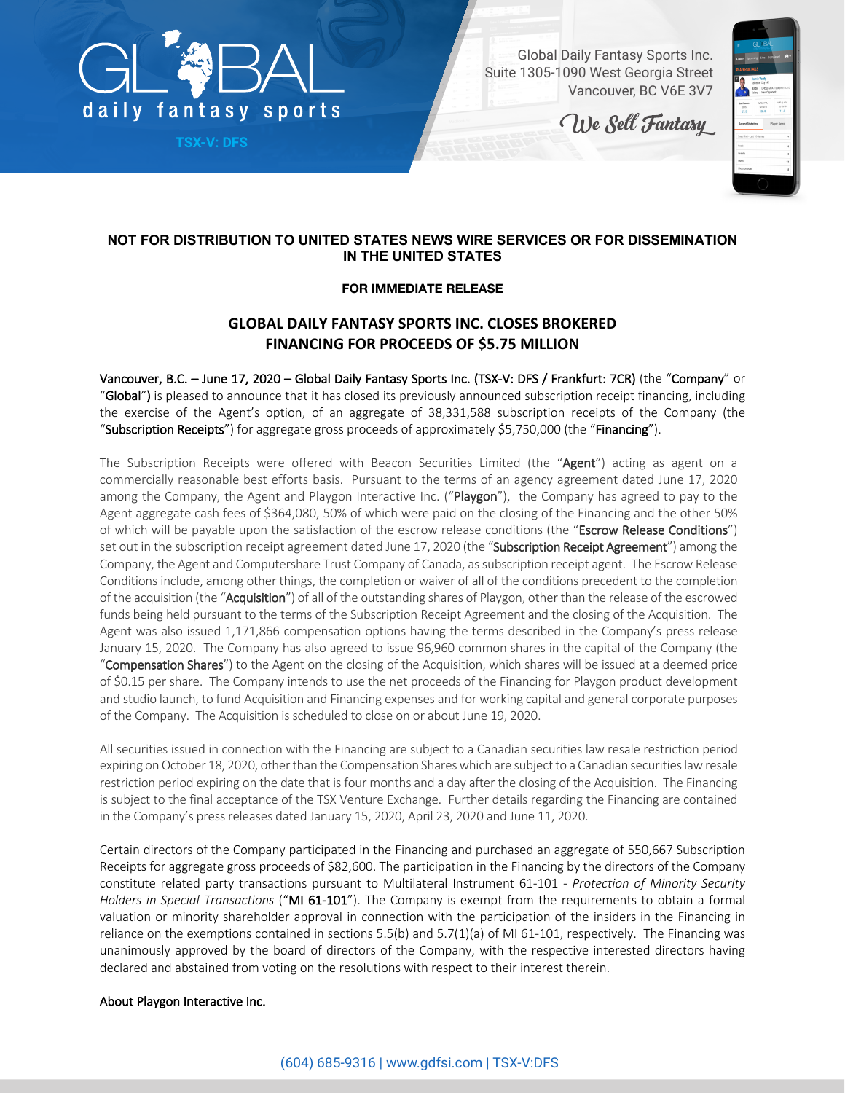

**TSX-V: DFS**

Global Daily Fantasy Sports Inc. Suite 1305-1090 West Georgia Street Vancouver, BC V6E 3V7

We Sell Fantasy



# **NOT FOR DISTRIBUTION TO UNITED STATES NEWS WIRE SERVICES OR FOR DISSEMINATION IN THE UNITED STATES**

### **FOR IMMEDIATE RELEASE**

# **GLOBAL DAILY FANTASY SPORTS INC. CLOSES BROKERED FINANCING FOR PROCEEDS OF \$5.75 MILLION**

Vancouver, B.C. – June 17, 2020 – Global Daily Fantasy Sports Inc. (TSX-V: DFS / Frankfurt: 7CR) (the "Company" or "Global") is pleased to announce that it has closed its previously announced subscription receipt financing, including the exercise of the Agent's option, of an aggregate of 38,331,588 subscription receipts of the Company (the "Subscription Receipts") for aggregate gross proceeds of approximately \$5,750,000 (the "Financing").

The Subscription Receipts were offered with Beacon Securities Limited (the "Agent") acting as agent on a commercially reasonable best efforts basis. Pursuant to the terms of an agency agreement dated June 17, 2020 among the Company, the Agent and Playgon Interactive Inc. ("Playgon"), the Company has agreed to pay to the Agent aggregate cash fees of \$364,080, 50% of which were paid on the closing of the Financing and the other 50% of which will be payable upon the satisfaction of the escrow release conditions (the "Escrow Release Conditions") set out in the subscription receipt agreement dated June 17, 2020 (the "Subscription Receipt Agreement") among the Company, the Agent and Computershare Trust Company of Canada, as subscription receipt agent. The Escrow Release Conditions include, among other things, the completion or waiver of all of the conditions precedent to the completion of the acquisition (the "Acquisition") of all of the outstanding shares of Playgon, other than the release of the escrowed funds being held pursuant to the terms of the Subscription Receipt Agreement and the closing of the Acquisition. The Agent was also issued 1,171,866 compensation options having the terms described in the Company's press release January 15, 2020. The Company has also agreed to issue 96,960 common shares in the capital of the Company (the "Compensation Shares") to the Agent on the closing of the Acquisition, which shares will be issued at a deemed price of \$0.15 per share. The Company intends to use the net proceeds of the Financing for Playgon product development and studio launch, to fund Acquisition and Financing expenses and for working capital and general corporate purposes of the Company. The Acquisition is scheduled to close on or about June 19, 2020.

All securities issued in connection with the Financing are subject to a Canadian securities law resale restriction period expiring on October 18, 2020, other than the Compensation Shares which are subject to a Canadian securities law resale restriction period expiring on the date that is four months and a day after the closing of the Acquisition. The Financing is subject to the final acceptance of the TSX Venture Exchange. Further details regarding the Financing are contained in the Company's press releases dated January 15, 2020, April 23, 2020 and June 11, 2020.

Certain directors of the Company participated in the Financing and purchased an aggregate of 550,667 Subscription Receipts for aggregate gross proceeds of \$82,600. The participation in the Financing by the directors of the Company constitute related party transactions pursuant to Multilateral Instrument 61-101 - *Protection of Minority Security Holders in Special Transactions* ("MI 61-101"). The Company is exempt from the requirements to obtain a formal valuation or minority shareholder approval in connection with the participation of the insiders in the Financing in reliance on the exemptions contained in sections 5.5(b) and 5.7(1)(a) of MI 61-101, respectively. The Financing was unanimously approved by the board of directors of the Company, with the respective interested directors having declared and abstained from voting on the resolutions with respect to their interest therein.

### About Playgon Interactive Inc.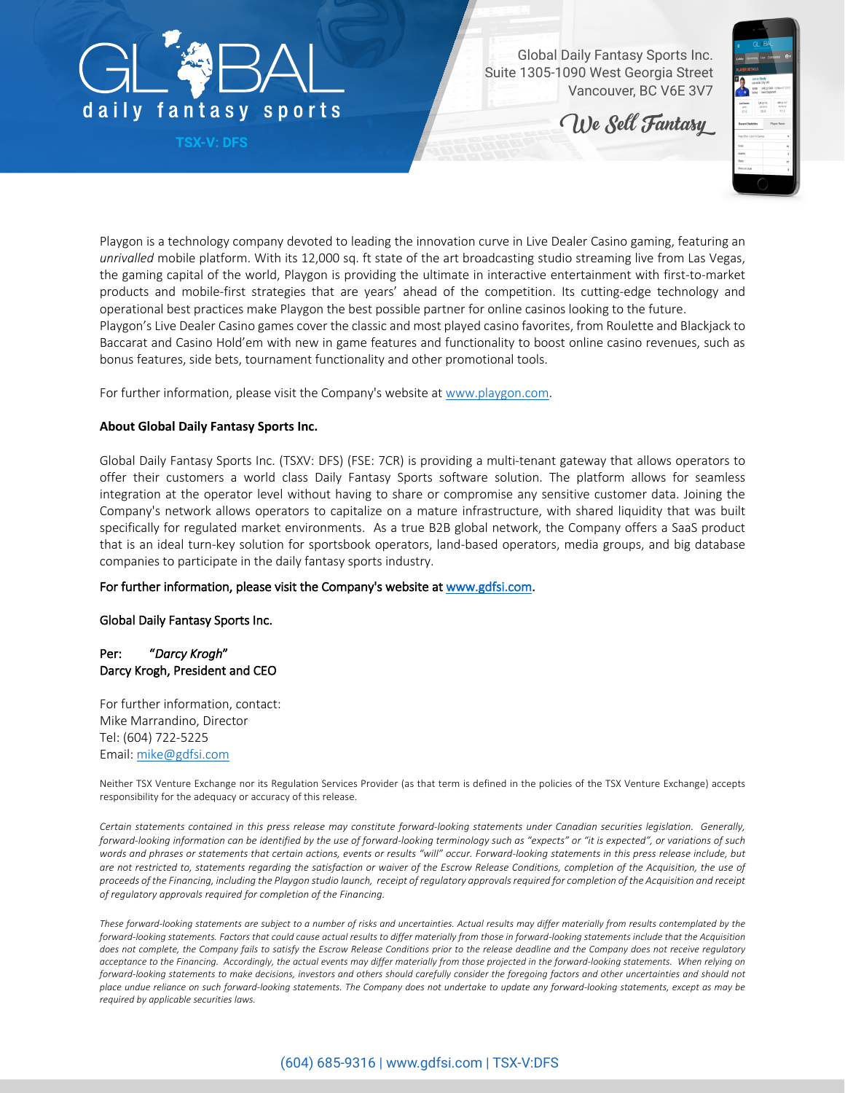

**TSX-V: DFS**

Global Daily Fantasy Sports Inc. Suite 1305-1090 West Georgia Street Vancouver, BC V6E 3V7

We Sell Fantasy



Playgon is a technology company devoted to leading the innovation curve in Live Dealer Casino gaming, featuring an *unrivalled* mobile platform. With its 12,000 sq. ft state of the art broadcasting studio streaming live from Las Vegas, the gaming capital of the world, Playgon is providing the ultimate in interactive entertainment with first-to-market products and mobile-first strategies that are years' ahead of the competition. Its cutting-edge technology and operational best practices make Playgon the best possible partner for online casinos looking to the future.

Playgon's Live Dealer Casino games cover the classic and most played casino favorites, from Roulette and Blackjack to Baccarat and Casino Hold'em with new in game features and functionality to boost online casino revenues, such as bonus features, side bets, tournament functionality and other promotional tools.

For further information, please visit the Company's website at www.playgon.com.

#### **About Global Daily Fantasy Sports Inc.**

Global Daily Fantasy Sports Inc. (TSXV: DFS) (FSE: 7CR) is providing a multi-tenant gateway that allows operators to offer their customers a world class Daily Fantasy Sports software solution. The platform allows for seamless integration at the operator level without having to share or compromise any sensitive customer data. Joining the Company's network allows operators to capitalize on a mature infrastructure, with shared liquidity that was built specifically for regulated market environments. As a true B2B global network, the Company offers a SaaS product that is an ideal turn-key solution for sportsbook operators, land-based operators, media groups, and big database companies to participate in the daily fantasy sports industry.

#### For further information, please visit the Company's website at www.gdfsi.com.

#### Global Daily Fantasy Sports Inc.

### Per: "*Darcy Krogh*" Darcy Krogh, President and CEO

For further information, contact: Mike Marrandino, Director Tel: (604) 722-5225 Email: mike@gdfsi.com

Neither TSX Venture Exchange nor its Regulation Services Provider (as that term is defined in the policies of the TSX Venture Exchange) accepts responsibility for the adequacy or accuracy of this release.

*Certain statements contained in this press release may constitute forward-looking statements under Canadian securities legislation. Generally, forward-looking information can be identified by the use of forward-looking terminology such as "expects" or "it is expected", or variations of such words and phrases or statements that certain actions, events or results "will" occur. Forward-looking statements in this press release include, but are not restricted to, statements regarding the satisfaction or waiver of the Escrow Release Conditions, completion of the Acquisition, the use of proceeds of the Financing, including the Playgon studio launch, receipt of regulatory approvalsrequired for completion of the Acquisition and receipt of regulatory approvals required for completion of the Financing.*

*These forward-looking statements are subject to a number of risks and uncertainties. Actual results may differ materially from results contemplated by the forward-looking statements. Factors that could cause actual results to differ materially from those in forward-looking statements include that the Acquisition does not complete, the Company fails to satisfy the Escrow Release Conditions prior to the release deadline and the Company does not receive regulatory acceptance to the Financing. Accordingly, the actual events may differ materially from those projected in the forward-looking statements. When relying on forward-looking statements to make decisions, investors and others should carefully consider the foregoing factors and other uncertainties and should not place undue reliance on such forward-looking statements. The Company does not undertake to update any forward-looking statements, except as may be required by applicable securities laws.*

# (604) 685-9316 | www.gdfsi.com | TSX-V:DFS